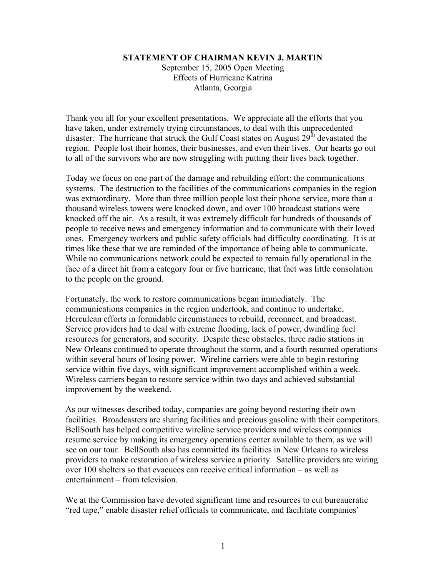## **STATEMENT OF CHAIRMAN KEVIN J. MARTIN**

September 15, 2005 Open Meeting Effects of Hurricane Katrina Atlanta, Georgia

Thank you all for your excellent presentations. We appreciate all the efforts that you have taken, under extremely trying circumstances, to deal with this unprecedented disaster. The hurricane that struck the Gulf Coast states on August  $29<sup>th</sup>$  devastated the region. People lost their homes, their businesses, and even their lives. Our hearts go out to all of the survivors who are now struggling with putting their lives back together.

Today we focus on one part of the damage and rebuilding effort: the communications systems. The destruction to the facilities of the communications companies in the region was extraordinary. More than three million people lost their phone service, more than a thousand wireless towers were knocked down, and over 100 broadcast stations were knocked off the air. As a result, it was extremely difficult for hundreds of thousands of people to receive news and emergency information and to communicate with their loved ones. Emergency workers and public safety officials had difficulty coordinating. It is at times like these that we are reminded of the importance of being able to communicate. While no communications network could be expected to remain fully operational in the face of a direct hit from a category four or five hurricane, that fact was little consolation to the people on the ground.

Fortunately, the work to restore communications began immediately. The communications companies in the region undertook, and continue to undertake, Herculean efforts in formidable circumstances to rebuild, reconnect, and broadcast. Service providers had to deal with extreme flooding, lack of power, dwindling fuel resources for generators, and security. Despite these obstacles, three radio stations in New Orleans continued to operate throughout the storm, and a fourth resumed operations within several hours of losing power. Wireline carriers were able to begin restoring service within five days, with significant improvement accomplished within a week. Wireless carriers began to restore service within two days and achieved substantial improvement by the weekend.

As our witnesses described today, companies are going beyond restoring their own facilities. Broadcasters are sharing facilities and precious gasoline with their competitors. BellSouth has helped competitive wireline service providers and wireless companies resume service by making its emergency operations center available to them, as we will see on our tour. BellSouth also has committed its facilities in New Orleans to wireless providers to make restoration of wireless service a priority. Satellite providers are wiring over 100 shelters so that evacuees can receive critical information – as well as entertainment – from television.

We at the Commission have devoted significant time and resources to cut bureaucratic "red tape," enable disaster relief officials to communicate, and facilitate companies'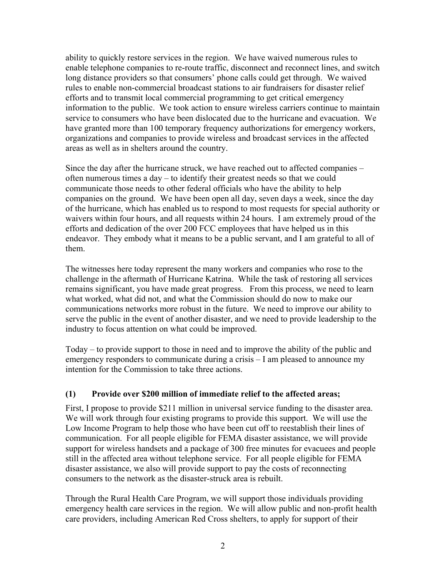ability to quickly restore services in the region. We have waived numerous rules to enable telephone companies to re-route traffic, disconnect and reconnect lines, and switch long distance providers so that consumers' phone calls could get through. We waived rules to enable non-commercial broadcast stations to air fundraisers for disaster relief efforts and to transmit local commercial programming to get critical emergency information to the public. We took action to ensure wireless carriers continue to maintain service to consumers who have been dislocated due to the hurricane and evacuation. We have granted more than 100 temporary frequency authorizations for emergency workers, organizations and companies to provide wireless and broadcast services in the affected areas as well as in shelters around the country.

Since the day after the hurricane struck, we have reached out to affected companies – often numerous times a day – to identify their greatest needs so that we could communicate those needs to other federal officials who have the ability to help companies on the ground. We have been open all day, seven days a week, since the day of the hurricane, which has enabled us to respond to most requests for special authority or waivers within four hours, and all requests within 24 hours. I am extremely proud of the efforts and dedication of the over 200 FCC employees that have helped us in this endeavor. They embody what it means to be a public servant, and I am grateful to all of them.

The witnesses here today represent the many workers and companies who rose to the challenge in the aftermath of Hurricane Katrina. While the task of restoring all services remains significant, you have made great progress. From this process, we need to learn what worked, what did not, and what the Commission should do now to make our communications networks more robust in the future. We need to improve our ability to serve the public in the event of another disaster, and we need to provide leadership to the industry to focus attention on what could be improved.

Today – to provide support to those in need and to improve the ability of the public and emergency responders to communicate during a crisis – I am pleased to announce my intention for the Commission to take three actions.

## **(1) Provide over \$200 million of immediate relief to the affected areas;**

First, I propose to provide \$211 million in universal service funding to the disaster area. We will work through four existing programs to provide this support. We will use the Low Income Program to help those who have been cut off to reestablish their lines of communication. For all people eligible for FEMA disaster assistance, we will provide support for wireless handsets and a package of 300 free minutes for evacuees and people still in the affected area without telephone service. For all people eligible for FEMA disaster assistance, we also will provide support to pay the costs of reconnecting consumers to the network as the disaster-struck area is rebuilt.

Through the Rural Health Care Program, we will support those individuals providing emergency health care services in the region. We will allow public and non-profit health care providers, including American Red Cross shelters, to apply for support of their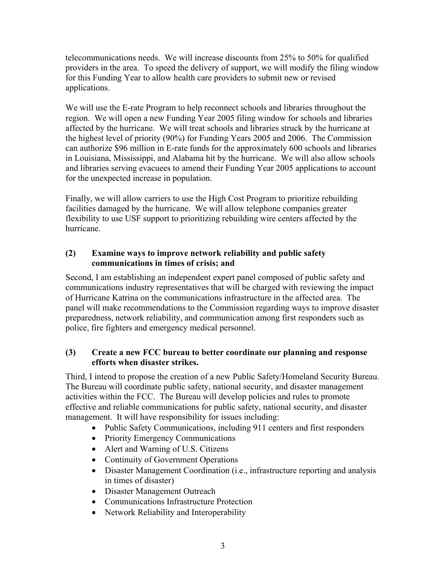telecommunications needs. We will increase discounts from 25% to 50% for qualified providers in the area. To speed the delivery of support, we will modify the filing window for this Funding Year to allow health care providers to submit new or revised applications.

We will use the E-rate Program to help reconnect schools and libraries throughout the region. We will open a new Funding Year 2005 filing window for schools and libraries affected by the hurricane. We will treat schools and libraries struck by the hurricane at the highest level of priority (90%) for Funding Years 2005 and 2006. The Commission can authorize \$96 million in E-rate funds for the approximately 600 schools and libraries in Louisiana, Mississippi, and Alabama hit by the hurricane. We will also allow schools and libraries serving evacuees to amend their Funding Year 2005 applications to account for the unexpected increase in population.

Finally, we will allow carriers to use the High Cost Program to prioritize rebuilding facilities damaged by the hurricane. We will allow telephone companies greater flexibility to use USF support to prioritizing rebuilding wire centers affected by the hurricane.

## **(2) Examine ways to improve network reliability and public safety communications in times of crisis; and**

Second, I am establishing an independent expert panel composed of public safety and communications industry representatives that will be charged with reviewing the impact of Hurricane Katrina on the communications infrastructure in the affected area. The panel will make recommendations to the Commission regarding ways to improve disaster preparedness, network reliability, and communication among first responders such as police, fire fighters and emergency medical personnel.

## **(3) Create a new FCC bureau to better coordinate our planning and response efforts when disaster strikes.**

Third, I intend to propose the creation of a new Public Safety/Homeland Security Bureau. The Bureau will coordinate public safety, national security, and disaster management activities within the FCC. The Bureau will develop policies and rules to promote effective and reliable communications for public safety, national security, and disaster management. It will have responsibility for issues including:

- Public Safety Communications, including 911 centers and first responders
- Priority Emergency Communications
- Alert and Warning of U.S. Citizens
- Continuity of Government Operations
- Disaster Management Coordination (i.e., infrastructure reporting and analysis in times of disaster)
- Disaster Management Outreach
- Communications Infrastructure Protection
- Network Reliability and Interoperability